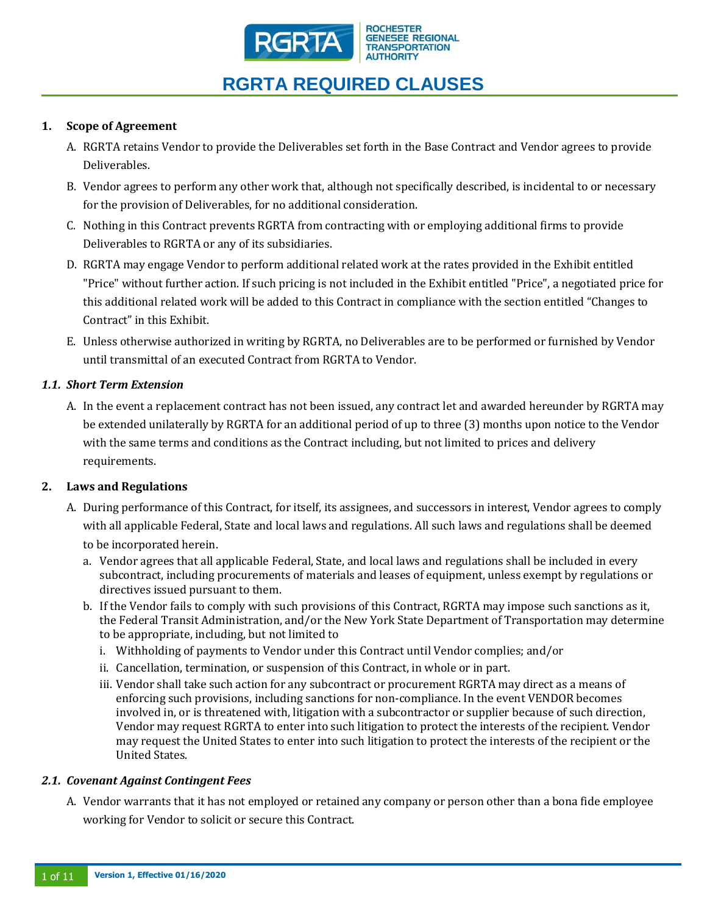

## **1. Scope of Agreement**

- A. RGRTA retains Vendor to provide the Deliverables set forth in the Base Contract and Vendor agrees to provide Deliverables.
- B. Vendor agrees to perform any other work that, although not specifically described, is incidental to or necessary for the provision of Deliverables, for no additional consideration.
- C. Nothing in this Contract prevents RGRTA from contracting with or employing additional firms to provide Deliverables to RGRTA or any of its subsidiaries.
- D. RGRTA may engage Vendor to perform additional related work at the rates provided in the Exhibit entitled "Price" without further action. If such pricing is not included in the Exhibit entitled "Price", a negotiated price for this additional related work will be added to this Contract in compliance with the section entitled "Changes to Contract" in this Exhibit.
- E. Unless otherwise authorized in writing by RGRTA, no Deliverables are to be performed or furnished by Vendor until transmittal of an executed Contract from RGRTA to Vendor.

## *1.1. Short Term Extension*

A. In the event a replacement contract has not been issued, any contract let and awarded hereunder by RGRTA may be extended unilaterally by RGRTA for an additional period of up to three (3) months upon notice to the Vendor with the same terms and conditions as the Contract including, but not limited to prices and delivery requirements.

### **2. Laws and Regulations**

- A. During performance of this Contract, for itself, its assignees, and successors in interest, Vendor agrees to comply with all applicable Federal, State and local laws and regulations. All such laws and regulations shall be deemed to be incorporated herein.
	- a. Vendor agrees that all applicable Federal, State, and local laws and regulations shall be included in every subcontract, including procurements of materials and leases of equipment, unless exempt by regulations or directives issued pursuant to them.
	- b. If the Vendor fails to comply with such provisions of this Contract, RGRTA may impose such sanctions as it, the Federal Transit Administration, and/or the New York State Department of Transportation may determine to be appropriate, including, but not limited to
		- i. Withholding of payments to Vendor under this Contract until Vendor complies; and/or
		- ii. Cancellation, termination, or suspension of this Contract, in whole or in part.
		- iii. Vendor shall take such action for any subcontract or procurement RGRTA may direct as a means of enforcing such provisions, including sanctions for non-compliance. In the event VENDOR becomes involved in, or is threatened with, litigation with a subcontractor or supplier because of such direction, Vendor may request RGRTA to enter into such litigation to protect the interests of the recipient. Vendor may request the United States to enter into such litigation to protect the interests of the recipient or the United States.

### *2.1. Covenant Against Contingent Fees*

A. Vendor warrants that it has not employed or retained any company or person other than a bona fide employee working for Vendor to solicit or secure this Contract.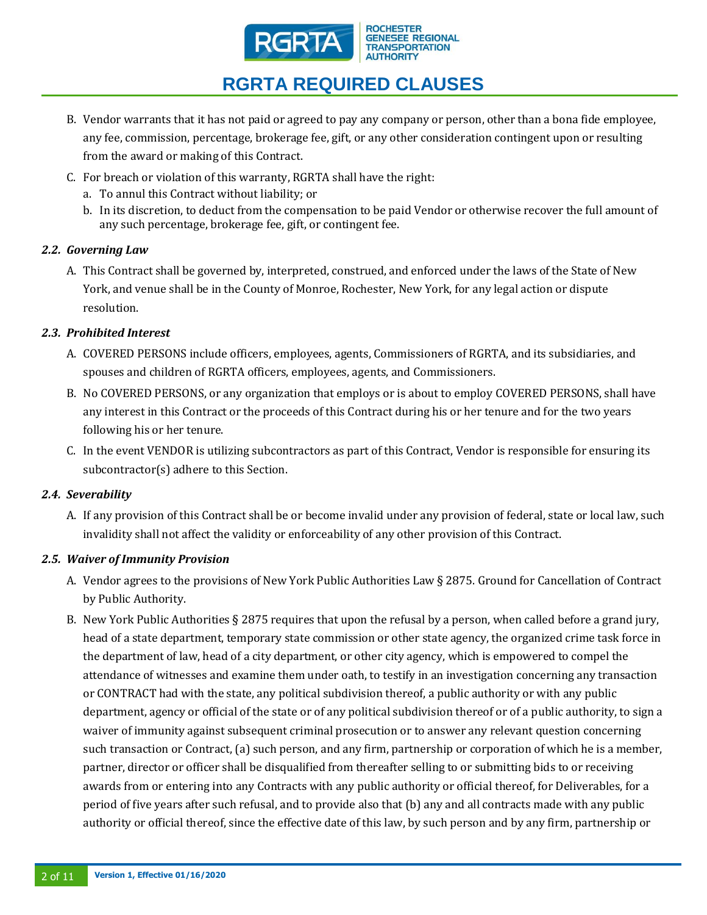

- B. Vendor warrants that it has not paid or agreed to pay any company or person, other than a bona fide employee, any fee, commission, percentage, brokerage fee, gift, or any other consideration contingent upon or resulting from the award or making of this Contract.
- C. For breach or violation of this warranty, RGRTA shall have the right:
	- a. To annul this Contract without liability; or
	- b. In its discretion, to deduct from the compensation to be paid Vendor or otherwise recover the full amount of any such percentage, brokerage fee, gift, or contingent fee.

## *2.2. Governing Law*

A. This Contract shall be governed by, interpreted, construed, and enforced under the laws of the State of New York, and venue shall be in the County of Monroe, Rochester, New York, for any legal action or dispute resolution.

## *2.3. Prohibited Interest*

- A. COVERED PERSONS include officers, employees, agents, Commissioners of RGRTA, and its subsidiaries, and spouses and children of RGRTA officers, employees, agents, and Commissioners.
- B. No COVERED PERSONS, or any organization that employs or is about to employ COVERED PERSONS, shall have any interest in this Contract or the proceeds of this Contract during his or her tenure and for the two years following his or her tenure.
- C. In the event VENDOR is utilizing subcontractors as part of this Contract, Vendor is responsible for ensuring its subcontractor(s) adhere to this Section.

## *2.4. Severability*

A. If any provision of this Contract shall be or become invalid under any provision of federal, state or local law, such invalidity shall not affect the validity or enforceability of any other provision of this Contract.

### *2.5. Waiver of Immunity Provision*

- A. Vendor agrees to the provisions of New York Public Authorities Law § 2875. Ground for Cancellation of Contract by Public Authority.
- B. New York Public Authorities § 2875 requires that upon the refusal by a person, when called before a grand jury, head of a state department, temporary state commission or other state agency, the organized crime task force in the department of law, head of a city department, or other city agency, which is empowered to compel the attendance of witnesses and examine them under oath, to testify in an investigation concerning any transaction or CONTRACT had with the state, any political subdivision thereof, a public authority or with any public department, agency or official of the state or of any political subdivision thereof or of a public authority, to sign a waiver of immunity against subsequent criminal prosecution or to answer any relevant question concerning such transaction or Contract, (a) such person, and any firm, partnership or corporation of which he is a member, partner, director or officer shall be disqualified from thereafter selling to or submitting bids to or receiving awards from or entering into any Contracts with any public authority or official thereof, for Deliverables, for a period of five years after such refusal, and to provide also that (b) any and all contracts made with any public authority or official thereof, since the effective date of this law, by such person and by any firm, partnership or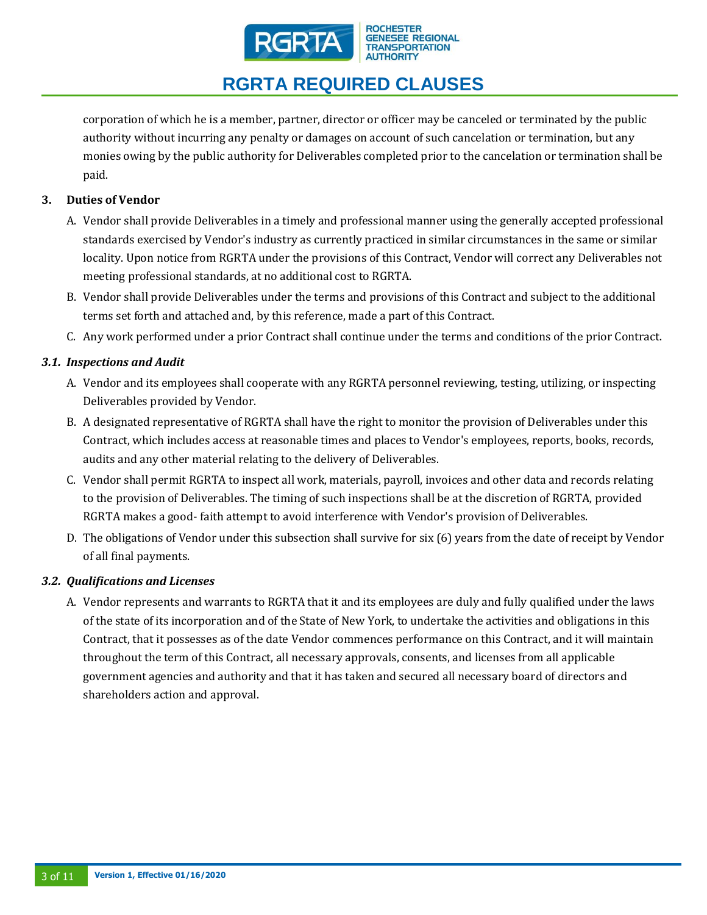

corporation of which he is a member, partner, director or officer may be canceled or terminated by the public authority without incurring any penalty or damages on account of such cancelation or termination, but any monies owing by the public authority for Deliverables completed prior to the cancelation or termination shall be paid.

## **3. Duties of Vendor**

- A. Vendor shall provide Deliverables in a timely and professional manner using the generally accepted professional standards exercised by Vendor's industry as currently practiced in similar circumstances in the same or similar locality. Upon notice from RGRTA under the provisions of this Contract, Vendor will correct any Deliverables not meeting professional standards, at no additional cost to RGRTA.
- B. Vendor shall provide Deliverables under the terms and provisions of this Contract and subject to the additional terms set forth and attached and, by this reference, made a part of this Contract.
- C. Any work performed under a prior Contract shall continue under the terms and conditions of the prior Contract.

## *3.1. Inspections and Audit*

- A. Vendor and its employees shall cooperate with any RGRTA personnel reviewing, testing, utilizing, or inspecting Deliverables provided by Vendor.
- B. A designated representative of RGRTA shall have the right to monitor the provision of Deliverables under this Contract, which includes access at reasonable times and places to Vendor's employees, reports, books, records, audits and any other material relating to the delivery of Deliverables.
- C. Vendor shall permit RGRTA to inspect all work, materials, payroll, invoices and other data and records relating to the provision of Deliverables. The timing of such inspections shall be at the discretion of RGRTA, provided RGRTA makes a good- faith attempt to avoid interference with Vendor's provision of Deliverables.
- D. The obligations of Vendor under this subsection shall survive for six (6) years from the date of receipt by Vendor of all final payments.

## *3.2. Qualifications and Licenses*

A. Vendor represents and warrants to RGRTA that it and its employees are duly and fully qualified under the laws of the state of its incorporation and of the State of New York, to undertake the activities and obligations in this Contract, that it possesses as of the date Vendor commences performance on this Contract, and it will maintain throughout the term of this Contract, all necessary approvals, consents, and licenses from all applicable government agencies and authority and that it has taken and secured all necessary board of directors and shareholders action and approval.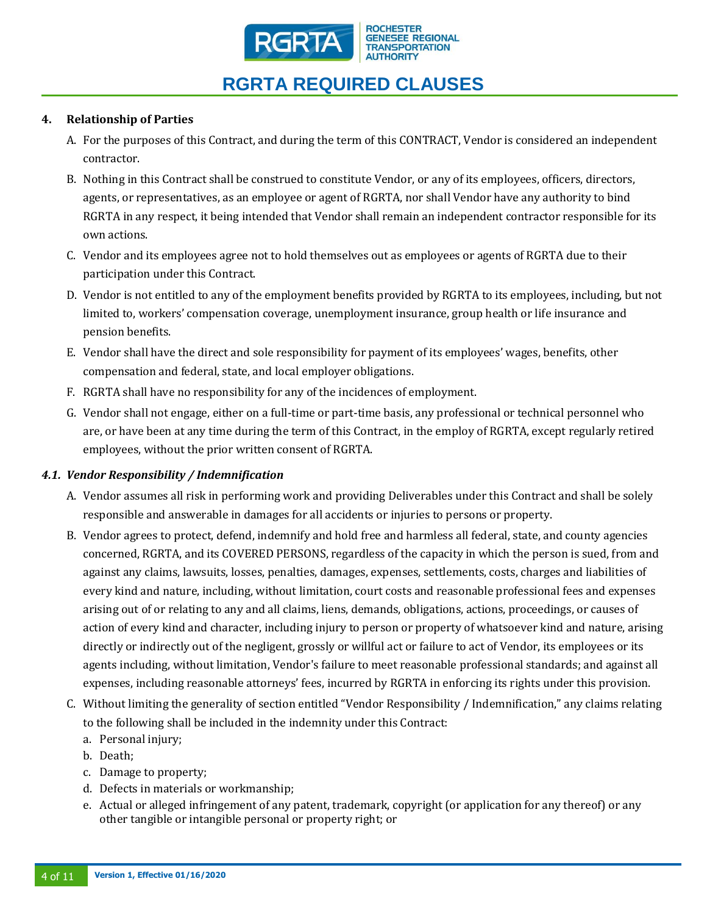

## **4. Relationship of Parties**

- A. For the purposes of this Contract, and during the term of this CONTRACT, Vendor is considered an independent contractor.
- B. Nothing in this Contract shall be construed to constitute Vendor, or any of its employees, officers, directors, agents, or representatives, as an employee or agent of RGRTA, nor shall Vendor have any authority to bind RGRTA in any respect, it being intended that Vendor shall remain an independent contractor responsible for its own actions.
- C. Vendor and its employees agree not to hold themselves out as employees or agents of RGRTA due to their participation under this Contract.
- D. Vendor is not entitled to any of the employment benefits provided by RGRTA to its employees, including, but not limited to, workers' compensation coverage, unemployment insurance, group health or life insurance and pension benefits.
- E. Vendor shall have the direct and sole responsibility for payment of its employees' wages, benefits, other compensation and federal, state, and local employer obligations.
- F. RGRTA shall have no responsibility for any of the incidences of employment.
- G. Vendor shall not engage, either on a full-time or part-time basis, any professional or technical personnel who are, or have been at any time during the term of this Contract, in the employ of RGRTA, except regularly retired employees, without the prior written consent of RGRTA.

### *4.1. Vendor Responsibility / Indemnification*

- A. Vendor assumes all risk in performing work and providing Deliverables under this Contract and shall be solely responsible and answerable in damages for all accidents or injuries to persons or property.
- B. Vendor agrees to protect, defend, indemnify and hold free and harmless all federal, state, and county agencies concerned, RGRTA, and its COVERED PERSONS, regardless of the capacity in which the person is sued, from and against any claims, lawsuits, losses, penalties, damages, expenses, settlements, costs, charges and liabilities of every kind and nature, including, without limitation, court costs and reasonable professional fees and expenses arising out of or relating to any and all claims, liens, demands, obligations, actions, proceedings, or causes of action of every kind and character, including injury to person or property of whatsoever kind and nature, arising directly or indirectly out of the negligent, grossly or willful act or failure to act of Vendor, its employees or its agents including, without limitation, Vendor's failure to meet reasonable professional standards; and against all expenses, including reasonable attorneys' fees, incurred by RGRTA in enforcing its rights under this provision.
- C. Without limiting the generality of section entitled "Vendor Responsibility / Indemnification," any claims relating to the following shall be included in the indemnity under this Contract:
	- a. Personal injury;
	- b. Death;
	- c. Damage to property;
	- d. Defects in materials or workmanship;
	- e. Actual or alleged infringement of any patent, trademark, copyright (or application for any thereof) or any other tangible or intangible personal or property right; or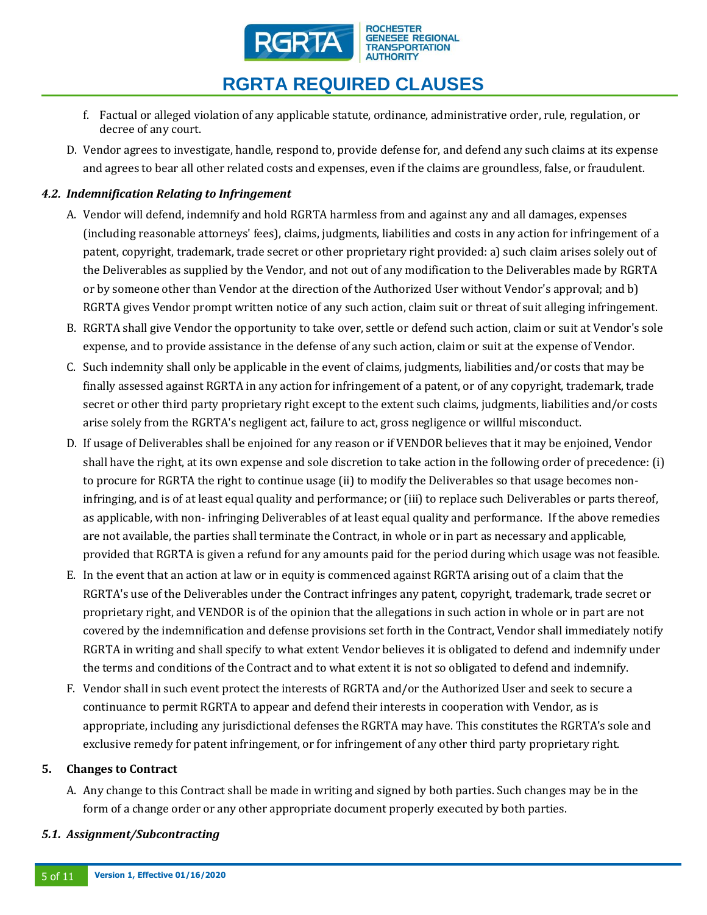

- f. Factual or alleged violation of any applicable statute, ordinance, administrative order, rule, regulation, or decree of any court.
- D. Vendor agrees to investigate, handle, respond to, provide defense for, and defend any such claims at its expense and agrees to bear all other related costs and expenses, even if the claims are groundless, false, or fraudulent.

## *4.2. Indemnification Relating to Infringement*

- A. Vendor will defend, indemnify and hold RGRTA harmless from and against any and all damages, expenses (including reasonable attorneys' fees), claims, judgments, liabilities and costs in any action for infringement of a patent, copyright, trademark, trade secret or other proprietary right provided: a) such claim arises solely out of the Deliverables as supplied by the Vendor, and not out of any modification to the Deliverables made by RGRTA or by someone other than Vendor at the direction of the Authorized User without Vendor's approval; and b) RGRTA gives Vendor prompt written notice of any such action, claim suit or threat of suit alleging infringement.
- B. RGRTA shall give Vendor the opportunity to take over, settle or defend such action, claim or suit at Vendor's sole expense, and to provide assistance in the defense of any such action, claim or suit at the expense of Vendor.
- C. Such indemnity shall only be applicable in the event of claims, judgments, liabilities and/or costs that may be finally assessed against RGRTA in any action for infringement of a patent, or of any copyright, trademark, trade secret or other third party proprietary right except to the extent such claims, judgments, liabilities and/or costs arise solely from the RGRTA's negligent act, failure to act, gross negligence or willful misconduct.
- D. If usage of Deliverables shall be enjoined for any reason or if VENDOR believes that it may be enjoined, Vendor shall have the right, at its own expense and sole discretion to take action in the following order of precedence: (i) to procure for RGRTA the right to continue usage (ii) to modify the Deliverables so that usage becomes noninfringing, and is of at least equal quality and performance; or (iii) to replace such Deliverables or parts thereof, as applicable, with non- infringing Deliverables of at least equal quality and performance. If the above remedies are not available, the parties shall terminate the Contract, in whole or in part as necessary and applicable, provided that RGRTA is given a refund for any amounts paid for the period during which usage was not feasible.
- E. In the event that an action at law or in equity is commenced against RGRTA arising out of a claim that the RGRTA's use of the Deliverables under the Contract infringes any patent, copyright, trademark, trade secret or proprietary right, and VENDOR is of the opinion that the allegations in such action in whole or in part are not covered by the indemnification and defense provisions set forth in the Contract, Vendor shall immediately notify RGRTA in writing and shall specify to what extent Vendor believes it is obligated to defend and indemnify under the terms and conditions of the Contract and to what extent it is not so obligated to defend and indemnify.
- F. Vendor shall in such event protect the interests of RGRTA and/or the Authorized User and seek to secure a continuance to permit RGRTA to appear and defend their interests in cooperation with Vendor, as is appropriate, including any jurisdictional defenses the RGRTA may have. This constitutes the RGRTA's sole and exclusive remedy for patent infringement, or for infringement of any other third party proprietary right.

### **5. Changes to Contract**

A. Any change to this Contract shall be made in writing and signed by both parties. Such changes may be in the form of a change order or any other appropriate document properly executed by both parties.

### *5.1. Assignment/Subcontracting*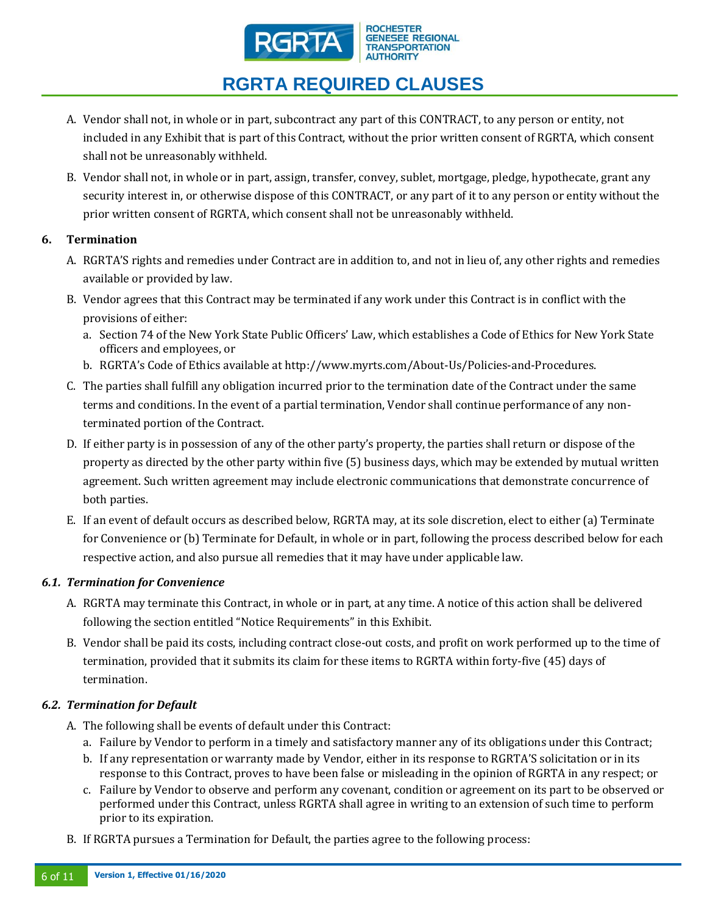

- A. Vendor shall not, in whole or in part, subcontract any part of this CONTRACT, to any person or entity, not included in any Exhibit that is part of this Contract, without the prior written consent of RGRTA, which consent shall not be unreasonably withheld.
- B. Vendor shall not, in whole or in part, assign, transfer, convey, sublet, mortgage, pledge, hypothecate, grant any security interest in, or otherwise dispose of this CONTRACT, or any part of it to any person or entity without the prior written consent of RGRTA, which consent shall not be unreasonably withheld.

## **6. Termination**

- A. RGRTA'S rights and remedies under Contract are in addition to, and not in lieu of, any other rights and remedies available or provided by law.
- B. Vendor agrees that this Contract may be terminated if any work under this Contract is in conflict with the provisions of either:
	- a. Section 74 of the New York State Public Officers' Law, which establishes a Code of Ethics for New York State officers and employees, or
	- b. RGRTA's Code of Ethics available at http://www.myrts.com/About-Us/Policies-and-Procedures.
- C. The parties shall fulfill any obligation incurred prior to the termination date of the Contract under the same terms and conditions. In the event of a partial termination, Vendor shall continue performance of any nonterminated portion of the Contract.
- D. If either party is in possession of any of the other party's property, the parties shall return or dispose of the property as directed by the other party within five (5) business days, which may be extended by mutual written agreement. Such written agreement may include electronic communications that demonstrate concurrence of both parties.
- E. If an event of default occurs as described below, RGRTA may, at its sole discretion, elect to either (a) Terminate for Convenience or (b) Terminate for Default, in whole or in part, following the process described below for each respective action, and also pursue all remedies that it may have under applicable law.

### *6.1. Termination for Convenience*

- A. RGRTA may terminate this Contract, in whole or in part, at any time. A notice of this action shall be delivered following the section entitled "Notice Requirements" in this Exhibit.
- B. Vendor shall be paid its costs, including contract close-out costs, and profit on work performed up to the time of termination, provided that it submits its claim for these items to RGRTA within forty-five (45) days of termination.

## *6.2. Termination for Default*

- A. The following shall be events of default under this Contract:
	- a. Failure by Vendor to perform in a timely and satisfactory manner any of its obligations under this Contract;
	- b. If any representation or warranty made by Vendor, either in its response to RGRTA'S solicitation or in its response to this Contract, proves to have been false or misleading in the opinion of RGRTA in any respect; or
	- c. Failure by Vendor to observe and perform any covenant, condition or agreement on its part to be observed or performed under this Contract, unless RGRTA shall agree in writing to an extension of such time to perform prior to its expiration.
- B. If RGRTA pursues a Termination for Default, the parties agree to the following process: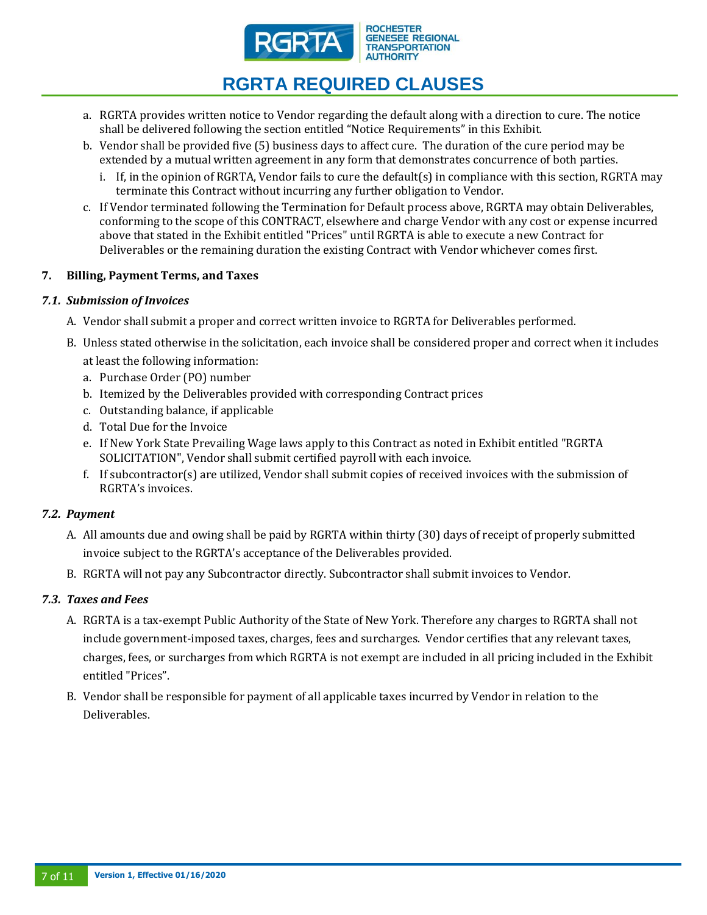

- a. RGRTA provides written notice to Vendor regarding the default along with a direction to cure. The notice shall be delivered following the section entitled "Notice Requirements" in this Exhibit.
- b. Vendor shall be provided five (5) business days to affect cure. The duration of the cure period may be extended by a mutual written agreement in any form that demonstrates concurrence of both parties.
	- i. If, in the opinion of RGRTA, Vendor fails to cure the default(s) in compliance with this section, RGRTA may terminate this Contract without incurring any further obligation to Vendor.
- c. If Vendor terminated following the Termination for Default process above, RGRTA may obtain Deliverables, conforming to the scope of this CONTRACT, elsewhere and charge Vendor with any cost or expense incurred above that stated in the Exhibit entitled "Prices" until RGRTA is able to execute a new Contract for Deliverables or the remaining duration the existing Contract with Vendor whichever comes first.

## **7. Billing, Payment Terms, and Taxes**

## *7.1. Submission of Invoices*

- A. Vendor shall submit a proper and correct written invoice to RGRTA for Deliverables performed.
- B. Unless stated otherwise in the solicitation, each invoice shall be considered proper and correct when it includes
	- at least the following information:
	- a. Purchase Order (PO) number
	- b. Itemized by the Deliverables provided with corresponding Contract prices
	- c. Outstanding balance, if applicable
	- d. Total Due for the Invoice
	- e. If New York State Prevailing Wage laws apply to this Contract as noted in Exhibit entitled "RGRTA SOLICITATION", Vendor shall submit certified payroll with each invoice.
	- f. If subcontractor(s) are utilized, Vendor shall submit copies of received invoices with the submission of RGRTA's invoices.

### *7.2. Payment*

- A. All amounts due and owing shall be paid by RGRTA within thirty (30) days of receipt of properly submitted invoice subject to the RGRTA's acceptance of the Deliverables provided.
- B. RGRTA will not pay any Subcontractor directly. Subcontractor shall submit invoices to Vendor.

### *7.3. Taxes and Fees*

- A. RGRTA is a tax-exempt Public Authority of the State of New York. Therefore any charges to RGRTA shall not include government-imposed taxes, charges, fees and surcharges. Vendor certifies that any relevant taxes, charges, fees, or surcharges from which RGRTA is not exempt are included in all pricing included in the Exhibit entitled "Prices".
- B. Vendor shall be responsible for payment of all applicable taxes incurred by Vendor in relation to the Deliverables.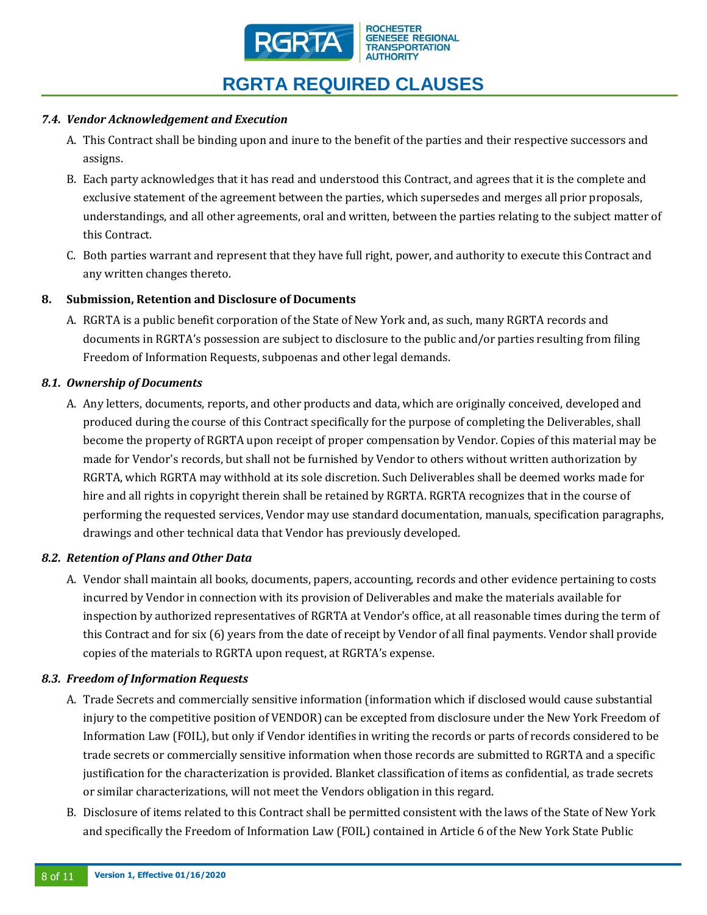

## *7.4. Vendor Acknowledgement and Execution*

- A. This Contract shall be binding upon and inure to the benefit of the parties and their respective successors and assigns.
- B. Each party acknowledges that it has read and understood this Contract, and agrees that it is the complete and exclusive statement of the agreement between the parties, which supersedes and merges all prior proposals, understandings, and all other agreements, oral and written, between the parties relating to the subject matter of this Contract.
- C. Both parties warrant and represent that they have full right, power, and authority to execute this Contract and any written changes thereto.

## **8. Submission, Retention and Disclosure of Documents**

A. RGRTA is a public benefit corporation of the State of New York and, as such, many RGRTA records and documents in RGRTA's possession are subject to disclosure to the public and/or parties resulting from filing Freedom of Information Requests, subpoenas and other legal demands.

## *8.1. Ownership of Documents*

A. Any letters, documents, reports, and other products and data, which are originally conceived, developed and produced during the course of this Contract specifically for the purpose of completing the Deliverables, shall become the property of RGRTA upon receipt of proper compensation by Vendor. Copies of this material may be made for Vendor's records, but shall not be furnished by Vendor to others without written authorization by RGRTA, which RGRTA may withhold at its sole discretion. Such Deliverables shall be deemed works made for hire and all rights in copyright therein shall be retained by RGRTA. RGRTA recognizes that in the course of performing the requested services, Vendor may use standard documentation, manuals, specification paragraphs, drawings and other technical data that Vendor has previously developed.

## *8.2. Retention of Plans and Other Data*

A. Vendor shall maintain all books, documents, papers, accounting, records and other evidence pertaining to costs incurred by Vendor in connection with its provision of Deliverables and make the materials available for inspection by authorized representatives of RGRTA at Vendor's office, at all reasonable times during the term of this Contract and for six (6) years from the date of receipt by Vendor of all final payments. Vendor shall provide copies of the materials to RGRTA upon request, at RGRTA's expense.

## *8.3. Freedom of Information Requests*

- A. Trade Secrets and commercially sensitive information (information which if disclosed would cause substantial injury to the competitive position of VENDOR) can be excepted from disclosure under the New York Freedom of Information Law (FOIL), but only if Vendor identifies in writing the records or parts of records considered to be trade secrets or commercially sensitive information when those records are submitted to RGRTA and a specific justification for the characterization is provided. Blanket classification of items as confidential, as trade secrets or similar characterizations, will not meet the Vendors obligation in this regard.
- B. Disclosure of items related to this Contract shall be permitted consistent with the laws of the State of New York and specifically the Freedom of Information Law (FOIL) contained in Article 6 of the New York State Public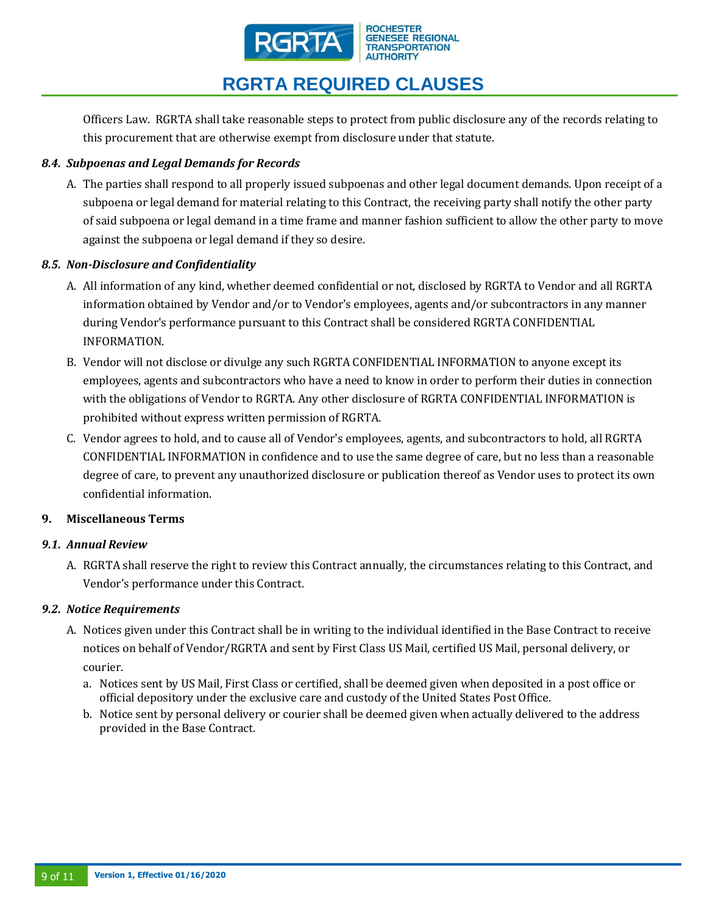

Officers Law. RGRTA shall take reasonable steps to protect from public disclosure any of the records relating to this procurement that are otherwise exempt from disclosure under that statute.

## *8.4. Subpoenas and Legal Demands for Records*

A. The parties shall respond to all properly issued subpoenas and other legal document demands. Upon receipt of a subpoena or legal demand for material relating to this Contract, the receiving party shall notify the other party of said subpoena or legal demand in a time frame and manner fashion sufficient to allow the other party to move against the subpoena or legal demand if they so desire.

### *8.5. Non-Disclosure and Confidentiality*

- A. All information of any kind, whether deemed confidential or not, disclosed by RGRTA to Vendor and all RGRTA information obtained by Vendor and/or to Vendor's employees, agents and/or subcontractors in any manner during Vendor's performance pursuant to this Contract shall be considered RGRTA CONFIDENTIAL INFORMATION.
- B. Vendor will not disclose or divulge any such RGRTA CONFIDENTIAL INFORMATION to anyone except its employees, agents and subcontractors who have a need to know in order to perform their duties in connection with the obligations of Vendor to RGRTA. Any other disclosure of RGRTA CONFIDENTIAL INFORMATION is prohibited without express written permission of RGRTA.
- C. Vendor agrees to hold, and to cause all of Vendor's employees, agents, and subcontractors to hold, all RGRTA CONFIDENTIAL INFORMATION in confidence and to use the same degree of care, but no less than a reasonable degree of care, to prevent any unauthorized disclosure or publication thereof as Vendor uses to protect its own confidential information.

### **9. Miscellaneous Terms**

### *9.1. Annual Review*

A. RGRTA shall reserve the right to review this Contract annually, the circumstances relating to this Contract, and Vendor's performance under this Contract.

### *9.2. Notice Requirements*

- A. Notices given under this Contract shall be in writing to the individual identified in the Base Contract to receive notices on behalf of Vendor/RGRTA and sent by First Class US Mail, certified US Mail, personal delivery, or courier.
	- a. Notices sent by US Mail, First Class or certified, shall be deemed given when deposited in a post office or official depository under the exclusive care and custody of the United States Post Office.
	- b. Notice sent by personal delivery or courier shall be deemed given when actually delivered to the address provided in the Base Contract.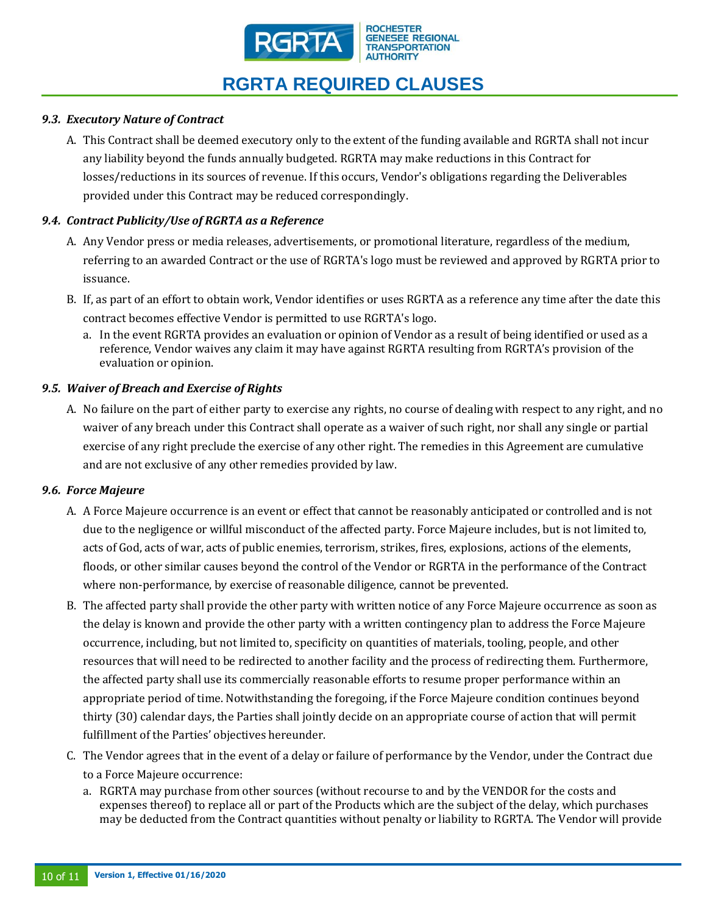

## *9.3. Executory Nature of Contract*

A. This Contract shall be deemed executory only to the extent of the funding available and RGRTA shall not incur any liability beyond the funds annually budgeted. RGRTA may make reductions in this Contract for losses/reductions in its sources of revenue. If this occurs, Vendor's obligations regarding the Deliverables provided under this Contract may be reduced correspondingly.

### *9.4. Contract Publicity/Use of RGRTA as a Reference*

- A. Any Vendor press or media releases, advertisements, or promotional literature, regardless of the medium, referring to an awarded Contract or the use of RGRTA's logo must be reviewed and approved by RGRTA prior to issuance.
- B. If, as part of an effort to obtain work, Vendor identifies or uses RGRTA as a reference any time after the date this contract becomes effective Vendor is permitted to use RGRTA's logo.
	- a. In the event RGRTA provides an evaluation or opinion of Vendor as a result of being identified or used as a reference, Vendor waives any claim it may have against RGRTA resulting from RGRTA's provision of the evaluation or opinion.

## *9.5. Waiver of Breach and Exercise of Rights*

A. No failure on the part of either party to exercise any rights, no course of dealing with respect to any right, and no waiver of any breach under this Contract shall operate as a waiver of such right, nor shall any single or partial exercise of any right preclude the exercise of any other right. The remedies in this Agreement are cumulative and are not exclusive of any other remedies provided by law.

### *9.6. Force Majeure*

- A. A Force Majeure occurrence is an event or effect that cannot be reasonably anticipated or controlled and is not due to the negligence or willful misconduct of the affected party. Force Majeure includes, but is not limited to, acts of God, acts of war, acts of public enemies, terrorism, strikes, fires, explosions, actions of the elements, floods, or other similar causes beyond the control of the Vendor or RGRTA in the performance of the Contract where non-performance, by exercise of reasonable diligence, cannot be prevented.
- B. The affected party shall provide the other party with written notice of any Force Majeure occurrence as soon as the delay is known and provide the other party with a written contingency plan to address the Force Majeure occurrence, including, but not limited to, specificity on quantities of materials, tooling, people, and other resources that will need to be redirected to another facility and the process of redirecting them. Furthermore, the affected party shall use its commercially reasonable efforts to resume proper performance within an appropriate period of time. Notwithstanding the foregoing, if the Force Majeure condition continues beyond thirty (30) calendar days, the Parties shall jointly decide on an appropriate course of action that will permit fulfillment of the Parties' objectives hereunder.
- C. The Vendor agrees that in the event of a delay or failure of performance by the Vendor, under the Contract due to a Force Majeure occurrence:
	- a. RGRTA may purchase from other sources (without recourse to and by the VENDOR for the costs and expenses thereof) to replace all or part of the Products which are the subject of the delay, which purchases may be deducted from the Contract quantities without penalty or liability to RGRTA. The Vendor will provide